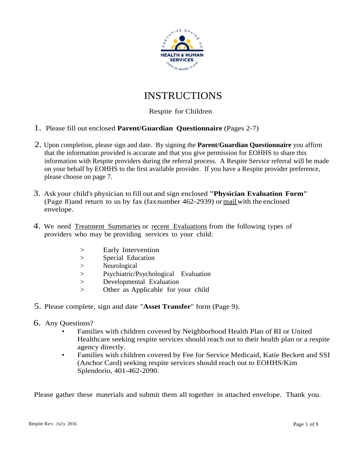

# INSTRUCTIONS

## Respite for Children

- 1. Please fill out enclosed **Parent/Guardian Questionnaire** (Pages 2-7)
- 2. Upon completion, please sign and date. By signing the **Parent/Guardian Questionnaire** you affirm that the information provided is accurate and that you give permission for EOHHS to share this information with Respite providers during the referral process. A Respite Service referral will be made on your behalf by EOHHS to the first available provider. If you have a Respite provider preference, please choose on page 7.
- 3. Ask your child's physician to fill out and sign enclosed **"Physician Evaluation Form"** (Page 8) and return to us by fax (faxnumber  $462-2939$ ) or mail with the enclosed envelope.
- 4. We need <u>Treatment Summaries</u> or recent Evaluations from the following types of providers who may be providing services to your child:
	- > Early Intervention
	- > Special Education
	- > Neurological
	- > Psychiatric/Psychological Evaluation
	- > Developmental Evaluation
	- > Other as Applicable for your child
- 5. Please complete, sign and date "**Asset Transfer**" form (Page 9).
- 6. Any Questions?
	- Families with children covered by Neighborhood Health Plan of RI or United Healthcare seeking respite services should reach out to their health plan or a respite agency directly.
	- Families with children covered by Fee for Service Medicaid, Katie Beckett and SSI (Anchor Card) seeking respite services should reach out to EOHHS/Kim Splendorio, 401-462-2090.

Please gather these materials and submit them all together in attached envelope. Thank you.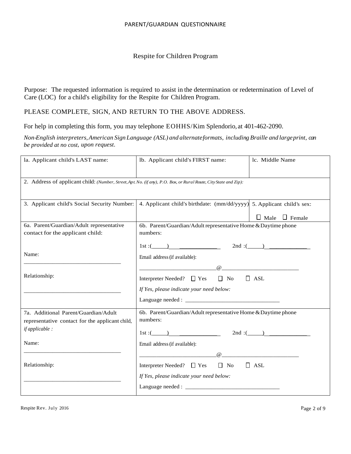### Respite for Children Program

Purpose: The requested information is required to assist in the determination or redetermination of Level of Care (LOC) for a child's eligibility for the Respite for Children Program.

## PLEASE COMPLETE, SIGN, AND RETURN TO THE ABOVE ADDRESS.

For help in completing this form, you may telephone EOHHS/Kim Splendorio, at 401-462-2090.

*Non-English interpreters,American Sign Language (ASL) and alternateformats, including Braille and largeprint, can be provided at no cost, upon request.*

| la. Applicant child's LAST name:                                                                                  | lb. Applicant child's FIRST name:                                                                                                                                                                                                                              | lc. Middle Name           |  |  |  |  |
|-------------------------------------------------------------------------------------------------------------------|----------------------------------------------------------------------------------------------------------------------------------------------------------------------------------------------------------------------------------------------------------------|---------------------------|--|--|--|--|
|                                                                                                                   | 2. Address of applicant child: (Number, Street, Apt. No. (if any), P.O. Box, or Rural Route, City State and Zip):                                                                                                                                              |                           |  |  |  |  |
|                                                                                                                   | 3. Applicant child's Social Security Number:   4. Applicant child's birthdate: (mm/dd/yyyy) 5. Applicant child's sex:                                                                                                                                          | $\Box$ Male $\Box$ Female |  |  |  |  |
| 6a. Parent/Guardian/Adult representative<br>contact for the applicant child:                                      | 6b. Parent/Guardian/Adult representative Home & Daytime phone<br>numbers:                                                                                                                                                                                      |                           |  |  |  |  |
| Name:                                                                                                             | 1st : (1) 2nd : (2) 2nd : (2) 2nd : (2) 2nd : (2) 2nd : (2) 2nd : (2) 2nd : (2) 2nd : (2) 2nd : (2) 2nd : (2) 2nd : (2) 2nd : (2) 2nd : (2) 2nd : (2) 2nd : (2) 2nd : (2) 2nd : (2) 2nd : (2) 2nd : (2) 2nd : (2) 2nd : (2) 2<br>Email address (if available): |                           |  |  |  |  |
| Relationship:                                                                                                     | Interpreter Needed? □ Yes □ No □ ASL<br>If Yes, please indicate your need below:                                                                                                                                                                               |                           |  |  |  |  |
|                                                                                                                   |                                                                                                                                                                                                                                                                |                           |  |  |  |  |
| 7a. Additional Parent/Guardian/Adult<br>representative contact for the applicant child,<br><i>if applicable :</i> | 6b. Parent/Guardian/Adult representative Home & Daytime phone<br>numbers:<br>$1st:$ $2nd:$ $2nd:$                                                                                                                                                              |                           |  |  |  |  |
| Name:                                                                                                             | Email address (if available):                                                                                                                                                                                                                                  |                           |  |  |  |  |
| Relationship:                                                                                                     | $\omega$ and $\omega$ and $\omega$ and $\omega$ and $\omega$ and $\omega$<br>Interpreter Needed? $\Box$ Yes $\Box$ No<br>If Yes, please indicate your need below:                                                                                              | $\Box$ ASL                |  |  |  |  |
|                                                                                                                   |                                                                                                                                                                                                                                                                |                           |  |  |  |  |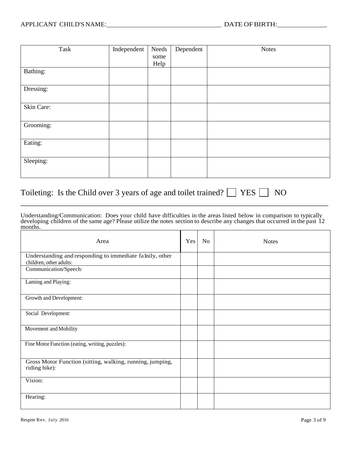| Task       | Independent | Needs | Dependent | <b>Notes</b> |
|------------|-------------|-------|-----------|--------------|
|            |             | some  |           |              |
|            |             | Help  |           |              |
| Bathing:   |             |       |           |              |
|            |             |       |           |              |
| Dressing:  |             |       |           |              |
|            |             |       |           |              |
| Skin Care: |             |       |           |              |
|            |             |       |           |              |
| Grooming:  |             |       |           |              |
|            |             |       |           |              |
| Eating:    |             |       |           |              |
|            |             |       |           |              |
| Sleeping:  |             |       |           |              |
|            |             |       |           |              |
|            |             |       |           |              |

# Toileting: Is the Child over 3 years of age and toilet trained?  $\Box$  YES  $\Box$  NO

Understanding/Communication: Does your child have difficulties in the areas listed below in comparison to typically developing children of the same age? Please utilize the notes section to describe any changes that occurred in the past 12 months.

\_\_\_\_\_\_\_\_\_\_\_\_\_\_\_\_\_\_\_\_\_\_\_\_\_\_\_\_\_\_\_\_\_\_\_\_\_\_\_\_\_\_\_\_\_\_\_\_\_\_\_\_\_\_\_\_\_\_\_\_\_\_\_\_\_\_\_\_\_\_\_\_\_\_

| Area                                                                                | Yes | N <sub>o</sub> | <b>Notes</b> |
|-------------------------------------------------------------------------------------|-----|----------------|--------------|
| Understanding and responding to immediate falnily, other<br>children, other adults: |     |                |              |
| Communication/Speech:                                                               |     |                |              |
| Laming and Playing:                                                                 |     |                |              |
| Growth and Development:                                                             |     |                |              |
| Social Development:                                                                 |     |                |              |
| Movement and Mobility                                                               |     |                |              |
| Fine Motor Function (eating, writing, puzzles):                                     |     |                |              |
| Gross Motor Function (sitting, walking, running, jumping,<br>riding bike):          |     |                |              |
| Vision:                                                                             |     |                |              |
| Hearing:                                                                            |     |                |              |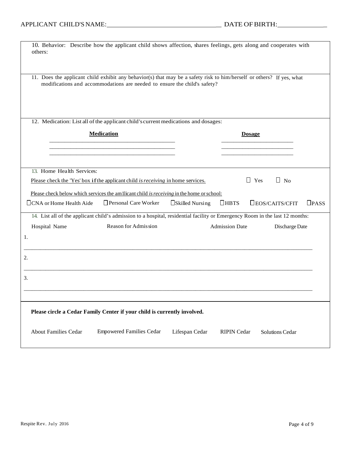| 10. Behavior: Describe how the applicant child shows affection, shares feelings, gets along and cooperates with<br>others:                                                                                  |                                                                                          |  |  |  |  |
|-------------------------------------------------------------------------------------------------------------------------------------------------------------------------------------------------------------|------------------------------------------------------------------------------------------|--|--|--|--|
| 11. Does the applicant child exhibit any behavior(s) that may be a safety risk to him/herself or others? If yes, what<br>modifications and accommodations are needed to ensure the child's safety?          |                                                                                          |  |  |  |  |
| 12. Medication: List all of the applicant child's current medications and dosages:                                                                                                                          |                                                                                          |  |  |  |  |
| <b>Medication</b>                                                                                                                                                                                           | <b>Dosage</b>                                                                            |  |  |  |  |
|                                                                                                                                                                                                             |                                                                                          |  |  |  |  |
| 13. Home Health Services:<br>Please check the 'Yes' box if the applicant child is receiving in home services.<br>Please check below which services the am Ilicant child is receiving in the home or school: | $\Box$ Yes<br>$\Box$ No                                                                  |  |  |  |  |
| Personal Care Worker<br>$\Box$ CNA or Home Health Aide                                                                                                                                                      | $D$ <sub>PASS</sub><br>$\Box$ HBTS<br>$\square$ EOS/CAITS/CFIT<br>$\Box$ Skilled Nursing |  |  |  |  |
| 14. List all of the applicant child's admission to a hospital, residential facility or Emergency Room in the last 12 months:<br>Reason for Admission<br>Hospital Name<br>1.                                 | <b>Admission Date</b><br>Discharge Date                                                  |  |  |  |  |
| 2.                                                                                                                                                                                                          |                                                                                          |  |  |  |  |
| 3.                                                                                                                                                                                                          |                                                                                          |  |  |  |  |
| Please circle a Cedar Family Center if your child is currently involved.                                                                                                                                    |                                                                                          |  |  |  |  |
| <b>Empowered Families Cedar</b><br><b>About Families Cedar</b>                                                                                                                                              | Lifespan Cedar<br><b>RIPIN Cedar</b><br>Solutions Cedar                                  |  |  |  |  |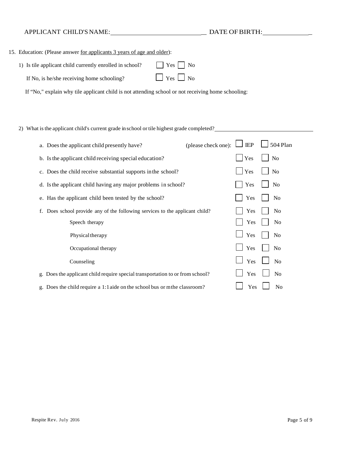## APPLICANT CHILD'S NAME: \_ DATE OFBIRTH: \_

| 15. Education: (Please answer for applicants 3 years of age and older):                            |                          |
|----------------------------------------------------------------------------------------------------|--------------------------|
| 1) Is tile applicant child currently enrolled in school?                                           | $ $ $ $ $Yes$ $ $ $ $ No |
| If No, is he/she receiving home schooling?                                                         | $\Box$ Yes $\Box$ No     |
| If "No," explain why tile applicant child is not attending school or not receiving home schooling: |                          |

2) What is the applicant child's current grade in school or tile highest grade completed?

| (please check one):<br>a. Does the applicant child presently have?               | 504 Plan<br>IEP       |
|----------------------------------------------------------------------------------|-----------------------|
| b. Is the applicant child receiving special education?                           | Yes<br>No             |
| c. Does the child receive substantial supports in the school?                    | Yes<br>N <sub>o</sub> |
| d. Is the applicant child having any major problems in school?                   | Yes<br>N <sub>0</sub> |
| e. Has the applicant child been tested by the school?                            | N <sub>o</sub><br>Yes |
| Does school provide any of the following services to the applicant child?<br>f.  | No<br>Yes             |
| Speech therapy                                                                   | N <sub>0</sub><br>Yes |
| Physical therapy                                                                 | Yes<br>N <sub>0</sub> |
| Occupational therapy                                                             | Yes<br>N <sub>0</sub> |
| Counseling                                                                       | Yes<br>N <sub>o</sub> |
| Does the applicant child require special transportation to or from school?<br>g. | Yes<br>N <sub>o</sub> |
| g. Does the child require a 1:1 aide on the school bus or mthe classroom?        | Yes<br>N <sub>o</sub> |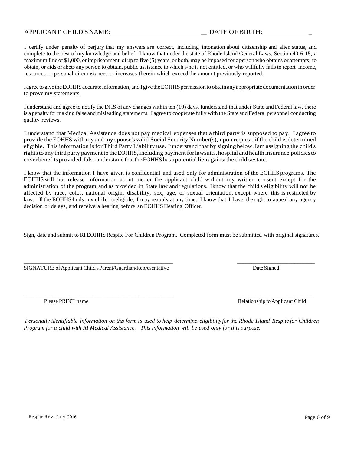### APPLICANT CHILD'S NAME:  $\qquad \qquad$  DATE OF BIRTH:

I certify under penalty of perjury that my answers are correct, including intonation about citizenship and alien status, and complete to the best of my knowledge and belief. I know that under the state of Rhode Island General Laws, Section 40-6-15, a maximum fine of \$1,000, or imprisonment of up to five (5) years, or both, may be imposed for aperson who obtains or attempts to obtain, or aids or abets any person to obtain, public assistance to which s/he is not entitled, or who willfully fails to report income, resources or personal circumstances or increases therein which exceed the amount previously reported.

I agree to give the EOHHS accurate information, and I give the EOHHS permission to obtain any appropriate documentation in order to prove my statements.

I understand and agree to notify the DHS of any changes within ten (10) days. I understand that under State and Federal law, there is a penalty for making false and misleading statements. I agree to cooperate fully with the State and Federal personnel conducting quality reviews.

I understand that Medical Assistance does not pay medical expenses that a third party is supposed to pay. I agree to provide the EOHHS with my and my spouse's valid Social Security Number(s), upon request, ifthe child is determined eligible. This information isfor Third Party Liability use. I understand that by signing below,I am assigning the child's rights to any third party payment to the EOHHS, including payment for lawsuits, hospital and health insurance policies to coverbenefits provided. Ialso understand that the EOHHS has a potential lien against the child's estate.

I know that the information I have given is confidential and used only for administration of the EOHHS programs. The EOHHS will not release information about me or the applicant child without my written consent except for the administration of the program and as provided in State law and regulations. I know that the child's eligibility will not be affected by race, color, national origin, disability, sex, age, or sexual orientation, except where this is restricted by law. If the EOHHS finds my child ineligible, I may reapply at any time. I know that I have the right to appeal any agency decision or delays, and receive a hearing before an EOHHS Hearing Officer.

Sign, date and submit to RI EOHHSRespite For Children Program. Completed form must be submitted with original signatures.

\_\_\_\_\_\_\_\_\_\_\_\_\_\_\_\_\_\_\_\_\_\_\_\_\_\_\_\_\_\_\_\_\_\_\_\_\_\_\_\_\_\_\_\_\_\_\_\_\_\_\_\_ \_\_\_\_\_\_\_\_\_\_\_\_\_\_\_\_\_\_\_\_\_\_\_\_\_\_\_

SIGNATURE of Applicant Child's Parent/Guardian/Representative Date Signed Date Signed

\_\_\_\_\_\_\_\_\_\_\_\_\_\_\_\_\_\_\_\_\_\_\_\_\_\_\_\_\_\_\_\_\_\_\_\_\_\_\_\_\_\_\_\_\_\_\_\_\_\_\_\_ \_\_\_\_\_\_\_\_\_\_\_\_\_\_\_\_\_\_\_\_\_\_\_\_\_\_\_

Please PRINT name Relationship to Applicant Child

Personally identifiable information on this form is used to help determine eligibility for the Rhode Island Respite for Children *Program for a child with RI Medical Assistance. This information will be used only for this purpose.*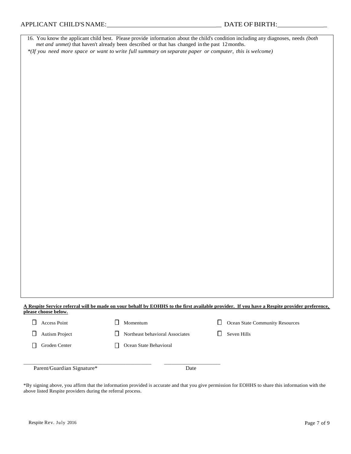|                          | met and unmet) that haven't already been described or that has changed in the past 12 months.          | 16. You know the applicant child best. Please provide information about the child's condition including any diagnoses, needs (both          |
|--------------------------|--------------------------------------------------------------------------------------------------------|---------------------------------------------------------------------------------------------------------------------------------------------|
|                          | *(If you need more space or want to write full summary on separate paper or computer, this is welcome) |                                                                                                                                             |
|                          |                                                                                                        |                                                                                                                                             |
|                          |                                                                                                        |                                                                                                                                             |
|                          |                                                                                                        |                                                                                                                                             |
|                          |                                                                                                        |                                                                                                                                             |
|                          |                                                                                                        |                                                                                                                                             |
|                          |                                                                                                        |                                                                                                                                             |
|                          |                                                                                                        |                                                                                                                                             |
|                          |                                                                                                        |                                                                                                                                             |
|                          |                                                                                                        |                                                                                                                                             |
|                          |                                                                                                        |                                                                                                                                             |
|                          |                                                                                                        |                                                                                                                                             |
|                          |                                                                                                        |                                                                                                                                             |
|                          |                                                                                                        |                                                                                                                                             |
|                          |                                                                                                        |                                                                                                                                             |
|                          |                                                                                                        |                                                                                                                                             |
|                          |                                                                                                        |                                                                                                                                             |
|                          |                                                                                                        |                                                                                                                                             |
|                          |                                                                                                        |                                                                                                                                             |
|                          |                                                                                                        |                                                                                                                                             |
|                          |                                                                                                        |                                                                                                                                             |
|                          |                                                                                                        |                                                                                                                                             |
|                          |                                                                                                        |                                                                                                                                             |
|                          |                                                                                                        |                                                                                                                                             |
|                          |                                                                                                        |                                                                                                                                             |
|                          |                                                                                                        |                                                                                                                                             |
|                          |                                                                                                        |                                                                                                                                             |
|                          |                                                                                                        |                                                                                                                                             |
|                          |                                                                                                        |                                                                                                                                             |
|                          |                                                                                                        |                                                                                                                                             |
|                          |                                                                                                        |                                                                                                                                             |
| please choose below.     |                                                                                                        | A Respite Service referral will be made on your behalf by EOHHS to the first available provider. If you have a Respite provider preference, |
| $\Box$<br>Access Point   | $\Box$<br>Momentum                                                                                     | $\Box$<br>Ocean State Community Resources                                                                                                   |
| $\Box$<br>Autism Project | □<br>Northeast behavioral Associates                                                                   | □<br>Seven Hills                                                                                                                            |

\_\_\_\_\_\_\_\_\_\_\_\_\_\_\_\_\_\_\_\_\_\_\_\_\_\_\_\_\_\_\_\_\_\_\_\_\_\_\_\_\_\_\_\_\_\_\_\_\_\_ \_\_\_\_\_\_\_\_\_\_\_\_\_\_\_\_\_\_\_\_\_\_

Groden Center **Calcular** Ocean State Behavioral

Parent/Guardian Signature\* Date

\*By signing above, you affirm that the information provided is accurate and that you give permission for EOHHS to share this information with the above listed Respite providers during the referral process.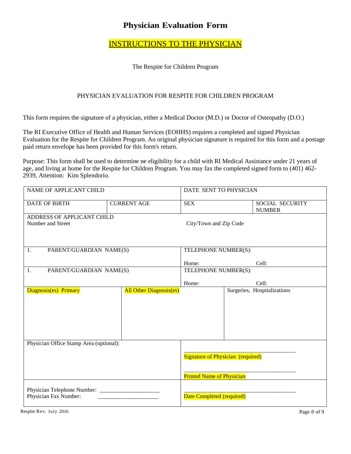# **Physician Evaluation Form**

# INSTRUCTIONS TO THE PHYSICIAN

### The Respite for Children Program

### PHYSICIAN EVALUATION FOR RESPITE FOR CHILDREN PROGRAM

This form requires the signature of a physician, either a Medical Doctor (M.D.) or Doctor of Osteopathy (D.O.)

The RI Executive Office of Health and Human Services (EOHHS) requires a completed and signed Physician Evaluation for the Respite for Children Program. An original physician signature is required for this form and a postage paid return envelope has been provided for this form's return.

Purpose: This form shall be used to determine ne eligibility for a child with RI Medical Assistance under 21 years of age, and living at home for the Respite for Children Program. You may fax the completed signed form to (401) 462- 2939, Attention: Kim Splendorio.

| NAME OF APPLICANT CHILD                 |                                | DATE SENT TO PHYSICIAN                   |  |                                         |
|-----------------------------------------|--------------------------------|------------------------------------------|--|-----------------------------------------|
| <b>DATE OF BIRTH</b>                    | <b>CURRENT AGE</b>             | <b>SEX</b>                               |  | <b>SOCIAL SECURITY</b><br><b>NUMBER</b> |
| ADDRESS OF APPLICANT CHILD              |                                |                                          |  |                                         |
| Number and Street                       |                                | City/Town and Zip Code                   |  |                                         |
|                                         |                                |                                          |  |                                         |
| PARENT/GUARDIAN NAME(S)<br>1.           |                                | TELEPHONE NUMBER(S):                     |  |                                         |
|                                         |                                | Home:                                    |  | Cell:                                   |
| PARENT/GUARDIAN NAME(S)<br>1.           |                                | TELEPHONE NUMBER(S):                     |  |                                         |
|                                         |                                |                                          |  |                                         |
|                                         |                                | Home:                                    |  | Cell:                                   |
| Diagnosis(es) Primary                   | <b>All Other Diagnosis(es)</b> |                                          |  | Surgeries, Hospitalizations             |
|                                         |                                |                                          |  |                                         |
|                                         |                                |                                          |  |                                         |
|                                         |                                |                                          |  |                                         |
|                                         |                                |                                          |  |                                         |
|                                         |                                |                                          |  |                                         |
|                                         |                                |                                          |  |                                         |
| Physician Office Stamp Area (optional): |                                |                                          |  |                                         |
|                                         |                                |                                          |  |                                         |
|                                         |                                | <b>Signature of Physician (required)</b> |  |                                         |
|                                         |                                |                                          |  |                                         |
|                                         |                                | <b>Printed Name of Physician</b>         |  |                                         |
|                                         |                                |                                          |  |                                         |
| Physician Fax Number:                   |                                | Date Completed (required)                |  |                                         |
|                                         |                                |                                          |  |                                         |